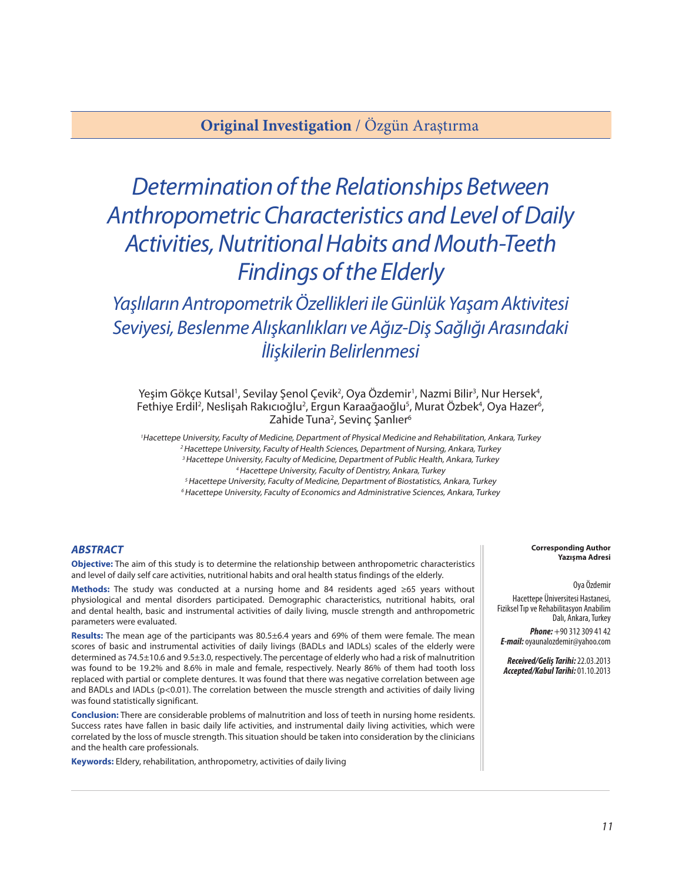## **Original Investigation** / Özgün Araştırma

# *Determination of the Relationships Between Anthropometric Characteristics and Level of Daily Activities, Nutritional Habits and Mouth-Teeth Findings of the Elderly*

*Yaşlıların Antropometrik Özellikleri ile Günlük Yaşam Aktivitesi Seviyesi, Beslenme Alışkanlıkları ve Ağız-Diş Sağlığı Arasındaki İlişkilerin Belirlenmesi*

Yeşim Gökçe Kutsal<sup>ı</sup>, Sevilay Şenol Çevik<sup>2</sup>, Oya Özdemir<sup>1</sup>, Nazmi Bilir<sup>3</sup>, Nur Hersek<sup>4</sup>, Fethiye Erdil<sup>2</sup>, Neslişah Rakıcıoğlu<sup>2</sup>, Ergun Karaağaoğlu<sup>5</sup>, Murat Özbek<sup>4</sup>, Oya Hazer<sup>6</sup>, Zahide Tuna<sup>2</sup>, Sevinç Şanlıer<sup>6</sup>

<sup>1</sup>Hacettepe University, Faculty of Medicine, Department of Physical Medicine and Rehabilitation, Ankara, Turkey <sup>2</sup> Hacettepe University, Faculty of Health Sciences, Department of Nursing, Ankara, Turkey <sup>3</sup> Hacettepe University, Faculty of Medicine, Department of Public Health, Ankara, Turkey <sup>4</sup>Hacettepe University, Faculty of Dentistry, Ankara, Turkey

<sup>5</sup> Hacettepe University, Faculty of Medicine, Department of Biostatistics, Ankara, Turkey <sup>6</sup> Hacettepe University, Faculty of Economics and Administrative Sciences, Ankara, Turkey

#### *ABSTRACT*

**Objective:** The aim of this study is to determine the relationship between anthropometric characteristics and level of daily self care activities, nutritional habits and oral health status findings of the elderly.

**Methods:** The study was conducted at a nursing home and 84 residents aged ≥65 years without physiological and mental disorders participated. Demographic characteristics, nutritional habits, oral and dental health, basic and instrumental activities of daily living, muscle strength and anthropometric parameters were evaluated.

**Results:** The mean age of the participants was 80.5±6.4 years and 69% of them were female. The mean scores of basic and instrumental activities of daily livings (BADLs and IADLs) scales of the elderly were determined as 74.5±10.6 and 9.5±3.0, respectively. The percentage of elderly who had a risk of malnutrition was found to be 19.2% and 8.6% in male and female, respectively. Nearly 86% of them had tooth loss replaced with partial or complete dentures. It was found that there was negative correlation between age and BADLs and IADLs (p<0.01). The correlation between the muscle strength and activities of daily living was found statistically significant.

**Conclusion:** There are considerable problems of malnutrition and loss of teeth in nursing home residents. Success rates have fallen in basic daily life activities, and instrumental daily living activities, which were correlated by the loss of muscle strength. This situation should be taken into consideration by the clinicians and the health care professionals.

**Keywords:** Eldery, rehabilitation, anthropometry, activities of daily living

#### **Corresponding Author Yazışma Adresi**

#### Oya Özdemir

Hacettepe Üniversitesi Hastanesi, Fiziksel Tıp ve Rehabilitasyon Anabilim Dalı, Ankara, Turkey

*Phone:* +90 312 309 41 42 *E-mail:* oyaunalozdemir@yahoo.com

*Received/Geliş Tarihi:* 22.03.2013 *Accepted/Kabul Tarihi:* 01.10.2013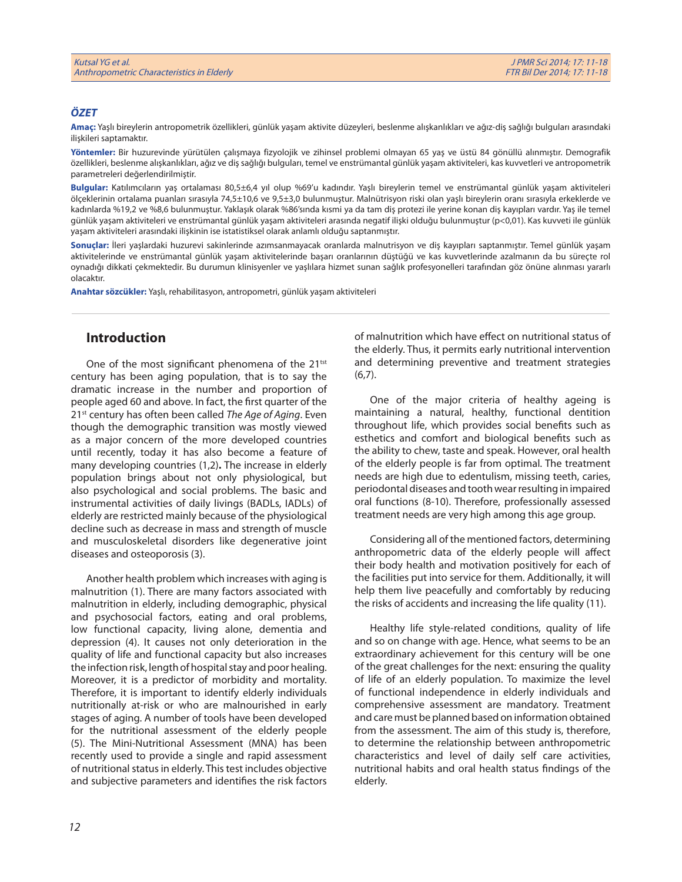### *ÖZET*

**Amaç:** Yaşlı bireylerin antropometrik özellikleri, günlük yaşam aktivite düzeyleri, beslenme alışkanlıkları ve ağız-diş sağlığı bulguları arasındaki ilişkileri saptamaktır.

**Yöntemler:** Bir huzurevinde yürütülen çalışmaya fizyolojik ve zihinsel problemi olmayan 65 yaş ve üstü 84 gönüllü alınmıştır. Demografik özellikleri, beslenme alışkanlıkları, ağız ve diş sağlığı bulguları, temel ve enstrümantal günlük yaşam aktiviteleri, kas kuvvetleri ve antropometrik parametreleri değerlendirilmiştir.

**Bulgular:** Katılımcıların yaş ortalaması 80,5±6,4 yıl olup %69'u kadındır. Yaşlı bireylerin temel ve enstrümantal günlük yaşam aktiviteleri ölçeklerinin ortalama puanları sırasıyla 74,5±10,6 ve 9,5±3,0 bulunmuştur. Malnütrisyon riski olan yaşlı bireylerin oranı sırasıyla erkeklerde ve kadınlarda %19,2 ve %8,6 bulunmuştur. Yaklaşık olarak %86'sında kısmi ya da tam diş protezi ile yerine konan diş kayıpları vardır. Yaş ile temel günlük yaşam aktiviteleri ve enstrümantal günlük yaşam aktiviteleri arasında negatif ilişki olduğu bulunmuştur (p<0,01). Kas kuvveti ile günlük yaşam aktiviteleri arasındaki ilişkinin ise istatistiksel olarak anlamlı olduğu saptanmıştır.

**Sonuçlar:** İleri yaşlardaki huzurevi sakinlerinde azımsanmayacak oranlarda malnutrisyon ve diş kayıpları saptanmıştır. Temel günlük yaşam aktivitelerinde ve enstrümantal günlük yaşam aktivitelerinde başarı oranlarının düştüğü ve kas kuvvetlerinde azalmanın da bu süreçte rol oynadığı dikkati çekmektedir. Bu durumun klinisyenler ve yaşlılara hizmet sunan sağlık profesyonelleri tarafından göz önüne alınması yararlı olacaktır.

**Anahtar sözcükler:** Yaşlı, rehabilitasyon, antropometri, günlük yaşam aktiviteleri

## **Introduction**

One of the most significant phenomena of the 21<sup>tst</sup> century has been aging population, that is to say the dramatic increase in the number and proportion of people aged 60 and above. In fact, the first quarter of the 21st century has often been called *The Age of Aging*. Even though the demographic transition was mostly viewed as a major concern of the more developed countries until recently, today it has also become a feature of many developing countries (1,2)**.** The increase in elderly population brings about not only physiological, but also psychological and social problems. The basic and instrumental activities of daily livings (BADLs, IADLs) of elderly are restricted mainly because of the physiological decline such as decrease in mass and strength of muscle and musculoskeletal disorders like degenerative joint diseases and osteoporosis (3).

Another health problem which increases with aging is malnutrition (1). There are many factors associated with malnutrition in elderly, including demographic, physical and psychosocial factors, eating and oral problems, low functional capacity, living alone, dementia and depression (4). It causes not only deterioration in the quality of life and functional capacity but also increases the infection risk, length of hospital stay and poor healing. Moreover, it is a predictor of morbidity and mortality. Therefore, it is important to identify elderly individuals nutritionally at-risk or who are malnourished in early stages of aging. A number of tools have been developed for the nutritional assessment of the elderly people (5). The Mini-Nutritional Assessment (MNA) has been recently used to provide a single and rapid assessment of nutritional status in elderly. This test includes objective and subjective parameters and identifies the risk factors

of malnutrition which have effect on nutritional status of the elderly. Thus, it permits early nutritional intervention and determining preventive and treatment strategies (6,7).

One of the major criteria of healthy ageing is maintaining a natural, healthy, functional dentition throughout life, which provides social benefits such as esthetics and comfort and biological benefits such as the ability to chew, taste and speak. However, oral health of the elderly people is far from optimal. The treatment needs are high due to edentulism, missing teeth, caries, periodontal diseases and tooth wear resulting in impaired oral functions (8-10). Therefore, professionally assessed treatment needs are very high among this age group.

Considering all of the mentioned factors, determining anthropometric data of the elderly people will affect their body health and motivation positively for each of the facilities put into service for them. Additionally, it will help them live peacefully and comfortably by reducing the risks of accidents and increasing the life quality (11).

Healthy life style-related conditions, quality of life and so on change with age. Hence, what seems to be an extraordinary achievement for this century will be one of the great challenges for the next: ensuring the quality of life of an elderly population. To maximize the level of functional independence in elderly individuals and comprehensive assessment are mandatory. Treatment and care must be planned based on information obtained from the assessment. The aim of this study is, therefore, to determine the relationship between anthropometric characteristics and level of daily self care activities, nutritional habits and oral health status findings of the elderly.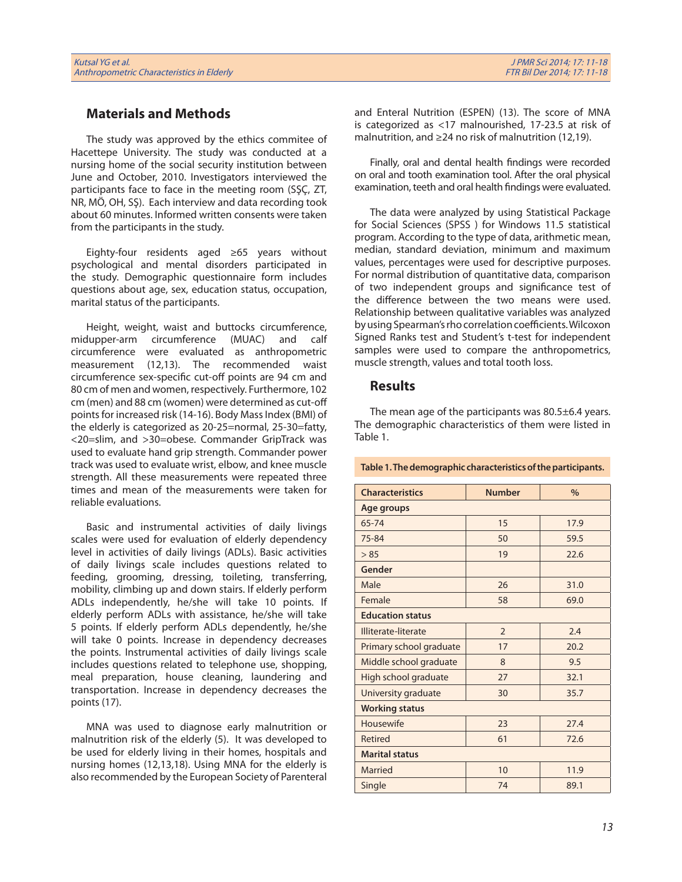## **Materials and Methods**

The study was approved by the ethics commitee of Hacettepe University. The study was conducted at a nursing home of the social security institution between June and October, 2010. Investigators interviewed the participants face to face in the meeting room (SŞÇ, ZT, NR, MÖ, OH, SŞ). Each interview and data recording took about 60 minutes. Informed written consents were taken from the participants in the study.

Eighty-four residents aged ≥65 years without psychological and mental disorders participated in the study. Demographic questionnaire form includes questions about age, sex, education status, occupation, marital status of the participants.

Height, weight, waist and buttocks circumference, midupper-arm circumference (MUAC) and calf circumference were evaluated as anthropometric measurement (12,13). The recommended waist circumference sex-specific cut-off points are 94 cm and 80 cm of men and women, respectively. Furthermore, 102 cm (men) and 88 cm (women) were determined as cut-off points for increased risk (14-16). Body Mass Index (BMI) of the elderly is categorized as 20-25=normal, 25-30=fatty, <20=slim, and >30=obese. Commander GripTrack was used to evaluate hand grip strength. Commander power track was used to evaluate wrist, elbow, and knee muscle strength. All these measurements were repeated three times and mean of the measurements were taken for reliable evaluations.

Basic and instrumental activities of daily livings scales were used for evaluation of elderly dependency level in activities of daily livings (ADLs). Basic activities of daily livings scale includes questions related to feeding, grooming, dressing, toileting, transferring, mobility, climbing up and down stairs. If elderly perform ADLs independently, he/she will take 10 points. If elderly perform ADLs with assistance, he/she will take 5 points. If elderly perform ADLs dependently, he/she will take 0 points. Increase in dependency decreases the points. Instrumental activities of daily livings scale includes questions related to telephone use, shopping, meal preparation, house cleaning, laundering and transportation. Increase in dependency decreases the points (17).

MNA was used to diagnose early malnutrition or malnutrition risk of the elderly (5). It was developed to be used for elderly living in their homes, hospitals and nursing homes (12,13,18). Using MNA for the elderly is also recommended by the European Society of Parenteral

and Enteral Nutrition (ESPEN) (13). The score of MNA is categorized as <17 malnourished, 17-23.5 at risk of malnutrition, and ≥24 no risk of malnutrition (12,19).

Finally, oral and dental health findings were recorded on oral and tooth examination tool. After the oral physical examination, teeth and oral health findings were evaluated.

The data were analyzed by using Statistical Package for Social Sciences (SPSS ) for Windows 11.5 statistical program. According to the type of data, arithmetic mean, median, standard deviation, minimum and maximum values, percentages were used for descriptive purposes. For normal distribution of quantitative data, comparison of two independent groups and significance test of the difference between the two means were used. Relationship between qualitative variables was analyzed by using Spearman's rho correlation coefficients. Wilcoxon Signed Ranks test and Student's t-test for independent samples were used to compare the anthropometrics, muscle strength, values and total tooth loss.

## **Results**

The mean age of the participants was 80.5±6.4 years. The demographic characteristics of them were listed in Table 1.

**Table 1. The demographic characteristics of the participants.**

| <b>Characteristics</b>  | <b>Number</b>  | $\frac{0}{0}$ |  |
|-------------------------|----------------|---------------|--|
| Age groups              |                |               |  |
| 65-74                   | 15             | 17.9          |  |
| 75-84                   | 50             | 59.5          |  |
| > 85                    | 19             | 22.6          |  |
| Gender                  |                |               |  |
| Male                    | 26             | 31.0          |  |
| Female                  | 58             | 69.0          |  |
| <b>Education status</b> |                |               |  |
| Illiterate-literate     | $\overline{2}$ | 2.4           |  |
| Primary school graduate | 17             | 20.2          |  |
| Middle school graduate  | 8              | 9.5           |  |
| High school graduate    | 27             | 32.1          |  |
| University graduate     | 30             | 35.7          |  |
| <b>Working status</b>   |                |               |  |
| Housewife               | 23             | 27.4          |  |
| Retired                 | 61             | 72.6          |  |
| <b>Marital status</b>   |                |               |  |
| Married                 | 10             | 11.9          |  |
| Single                  | 74             | 89.1          |  |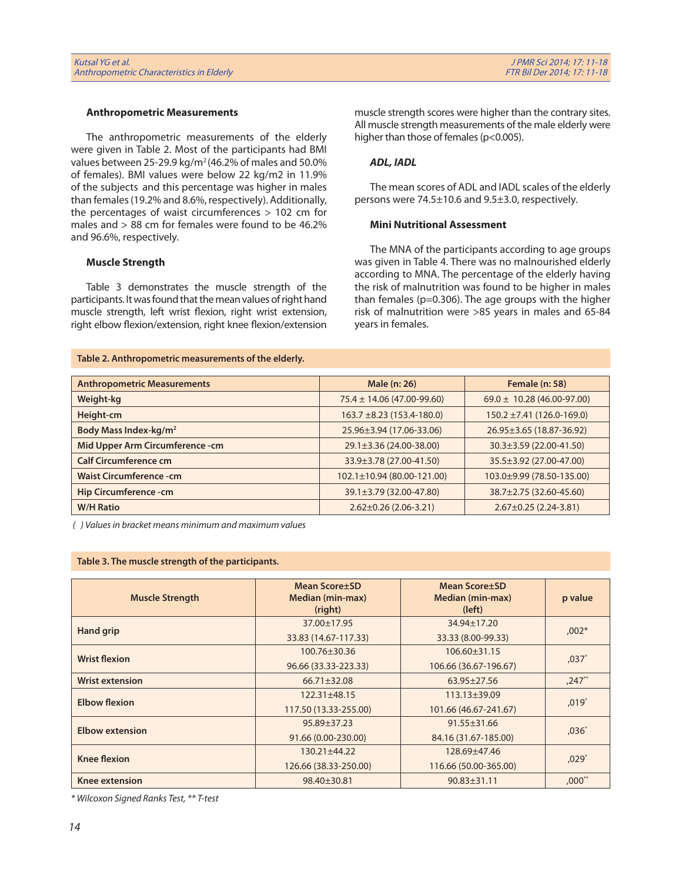#### **Anthropometric Measurements**

The anthropometric measurements of the elderly were given in Table 2. Most of the participants had BMI values between 25-29.9 kg/m2 (46.2% of males and 50.0% of females). BMI values were below 22 kg/m2 in 11.9% of the subjects and this percentage was higher in males than females (19.2% and 8.6%, respectively). Additionally, the percentages of waist circumferences > 102 cm for males and > 88 cm for females were found to be 46.2% and 96.6%, respectively.

#### **Muscle Strength**

Table 3 demonstrates the muscle strength of the participants. It was found that the mean values of right hand muscle strength, left wrist flexion, right wrist extension, right elbow flexion/extension, right knee flexion/extension

#### **Table 2. Anthropometric measurements of the elderly.**

muscle strength scores were higher than the contrary sites. All muscle strength measurements of the male elderly were higher than those of females (p<0.005).

#### *ADL, IADL*

The mean scores of ADL and IADL scales of the elderly persons were 74.5±10.6 and 9.5±3.0, respectively.

#### **Mini Nutritional Assessment**

The MNA of the participants according to age groups was given in Table 4. There was no malnourished elderly according to MNA. The percentage of the elderly having the risk of malnutrition was found to be higher in males than females (p=0.306). The age groups with the higher risk of malnutrition were >85 years in males and 65-84 years in females.

| <b>Anthropometric Measurements</b> | Male (n: 26)                     | Female (n: 58)                   |
|------------------------------------|----------------------------------|----------------------------------|
| <b>Weight-kg</b>                   | $75.4 \pm 14.06 (47.00 - 99.60)$ | $69.0 \pm 10.28$ (46.00-97.00)   |
| Height-cm                          | $163.7 \pm 8.23$ (153.4-180.0)   | $150.2 \pm 7.41 (126.0 - 169.0)$ |
| Body Mass Index-kg/m <sup>2</sup>  | 25.96±3.94 (17.06-33.06)         | 26.95±3.65 (18.87-36.92)         |
| Mid Upper Arm Circumference - cm   | $29.1 \pm 3.36$ (24.00-38.00)    | 30.3±3.59 (22.00-41.50)          |
| <b>Calf Circumference cm</b>       | 33.9±3.78 (27.00-41.50)          | 35.5±3.92 (27.00-47.00)          |
| <b>Waist Circumference - cm</b>    | $102.1 \pm 10.94$ (80.00-121.00) | 103.0±9.99 (78.50-135.00)        |
| Hip Circumference - cm             | 39.1±3.79 (32.00-47.80)          | 38.7±2.75 (32.60-45.60)          |
| <b>W/H Ratio</b>                   | $2.62 \pm 0.26$ (2.06-3.21)      | $2.67 \pm 0.25$ (2.24-3.81)      |

 *( ) Values in bracket means minimum and maximum values*

#### **Table 3. The muscle strength of the participants.**

| <b>Muscle Strength</b> | <b>Mean Score</b> ±SD<br><b>Median (min-max)</b><br>(right) | <b>Mean Score</b> ±SD<br>Median (min-max)<br>(left) | p value     |  |
|------------------------|-------------------------------------------------------------|-----------------------------------------------------|-------------|--|
| <b>Hand grip</b>       | 37.00±17.95                                                 | $34.94 \pm 17.20$                                   | $.002*$     |  |
|                        | 33.83 (14.67-117.33)                                        | 33.33 (8.00-99.33)                                  |             |  |
| <b>Wrist flexion</b>   | $100.76 \pm 30.36$                                          | $106.60 \pm 31.15$                                  |             |  |
|                        | 96.66 (33.33-223.33)                                        | 106.66 (36.67-196.67)                               | $,037*$     |  |
| <b>Wrist extension</b> | $66.71 \pm 32.08$                                           | $63.95 \pm 27.56$                                   | $,247**$    |  |
| <b>Elbow flexion</b>   | $122.31 \pm 48.15$                                          | $113.13 \pm 39.09$                                  | $.019*$     |  |
|                        | 117.50 (13.33-255.00)                                       | 101.66 (46.67-241.67)                               |             |  |
| <b>Elbow extension</b> | $95.89 \pm 37.23$                                           | $91.55 \pm 31.66$                                   | $,036*$     |  |
|                        | 91.66 (0.00-230.00)                                         | 84.16 (31.67-185.00)                                |             |  |
| <b>Knee flexion</b>    | $130.21 \pm 44.22$                                          | 128.69±47.46                                        |             |  |
|                        | 126.66 (38.33-250.00)                                       | 116.66 (50.00-365.00)                               | $,029*$     |  |
| Knee extension         | 98.40±30.81                                                 | $90.83 \pm 31.11$                                   | $,000^{**}$ |  |

*\* Wilcoxon Signed Ranks Test, \*\* T-test*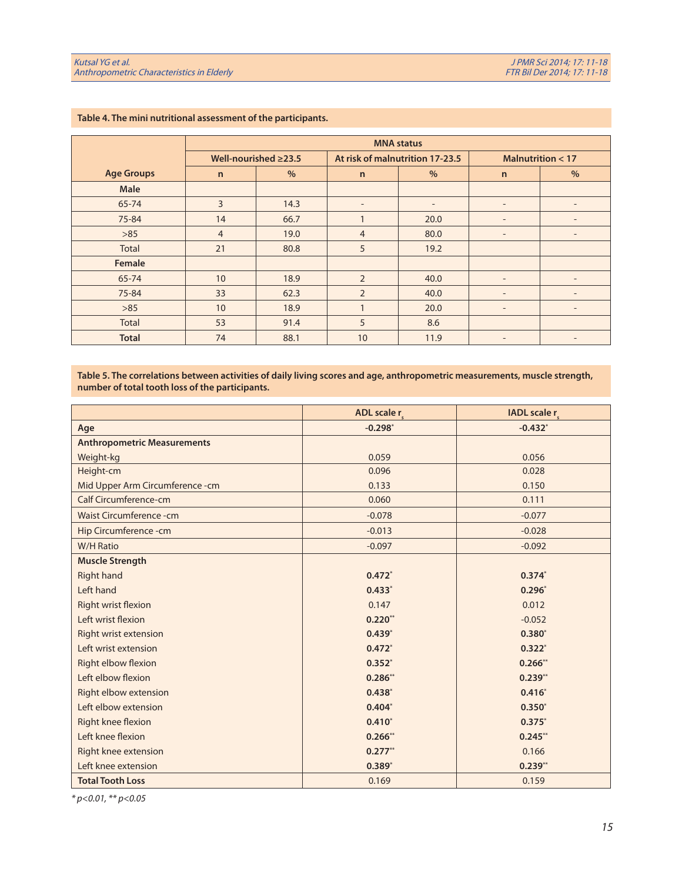|                   | <b>MNA</b> status          |               |                                 |                          |                          |                          |
|-------------------|----------------------------|---------------|---------------------------------|--------------------------|--------------------------|--------------------------|
|                   | Well-nourished $\geq$ 23.5 |               | At risk of malnutrition 17-23.5 |                          | Malnutrition $<$ 17      |                          |
| <b>Age Groups</b> | $\mathsf{n}$               | $\frac{9}{6}$ | $\mathsf{n}$                    | $\%$                     | $\mathsf{n}$             | $\%$                     |
| Male              |                            |               |                                 |                          |                          |                          |
| 65-74             | 3                          | 14.3          | $\overline{\phantom{a}}$        | $\overline{\phantom{a}}$ | $\overline{\phantom{a}}$ | $\qquad \qquad -$        |
| 75-84             | 14                         | 66.7          | 1                               | 20.0                     | $\qquad \qquad$          |                          |
| $>85$             | $\overline{4}$             | 19.0          | $\overline{4}$                  | 80.0                     | $\overline{\phantom{a}}$ | $\overline{\phantom{a}}$ |
| Total             | 21                         | 80.8          | 5                               | 19.2                     |                          |                          |
| Female            |                            |               |                                 |                          |                          |                          |
| 65-74             | 10                         | 18.9          | $\overline{2}$                  | 40.0                     | $\overline{\phantom{a}}$ | $\overline{\phantom{0}}$ |
| 75-84             | 33                         | 62.3          | $\overline{2}$                  | 40.0                     | $\overline{\phantom{a}}$ | $\overline{\phantom{0}}$ |
| $>85$             | 10                         | 18.9          | 1                               | 20.0                     | $\overline{\phantom{a}}$ | $\qquad \qquad -$        |
| <b>Total</b>      | 53                         | 91.4          | 5                               | 8.6                      |                          |                          |
| <b>Total</b>      | 74                         | 88.1          | 10                              | 11.9                     | $\overline{\phantom{a}}$ | $\qquad \qquad -$        |

## **Table 4. The mini nutritional assessment of the participants.**

**Table 5. The correlations between activities of daily living scores and age, anthropometric measurements, muscle strength, number of total tooth loss of the participants.**

|                                    | ADL scale r | IADL scale r |
|------------------------------------|-------------|--------------|
| Age                                | $-0.298$ *  | $-0.432$ *   |
| <b>Anthropometric Measurements</b> |             |              |
| Weight-kg                          | 0.059       | 0.056        |
| Height-cm                          | 0.096       | 0.028        |
| Mid Upper Arm Circumference - cm   | 0.133       | 0.150        |
| <b>Calf Circumference-cm</b>       | 0.060       | 0.111        |
| <b>Waist Circumference - cm</b>    | $-0.078$    | $-0.077$     |
| Hip Circumference - cm             | $-0.013$    | $-0.028$     |
| <b>W/H Ratio</b>                   | $-0.097$    | $-0.092$     |
| <b>Muscle Strength</b>             |             |              |
| <b>Right hand</b>                  | $0.472*$    | $0.374*$     |
| Left hand                          | $0.433*$    | $0.296*$     |
| Right wrist flexion                | 0.147       | 0.012        |
| Left wrist flexion                 | $0.220**$   | $-0.052$     |
| Right wrist extension              | $0.439*$    | $0.380*$     |
| Left wrist extension               | $0.472*$    | $0.322*$     |
| Right elbow flexion                | $0.352*$    | $0.266**$    |
| Left elbow flexion                 | $0.286**$   | $0.239**$    |
| Right elbow extension              | $0.438*$    | $0.416*$     |
| Left elbow extension               | $0.404*$    | $0.350*$     |
| Right knee flexion                 | $0.410*$    | $0.375*$     |
| Left knee flexion                  | $0.266$ **  | $0.245**$    |
| Right knee extension               | $0.277***$  | 0.166        |
| Left knee extension                | $0.389*$    | $0.239**$    |
| <b>Total Tooth Loss</b>            | 0.169       | 0.159        |

*\* p<0.01, \*\* p<0.05*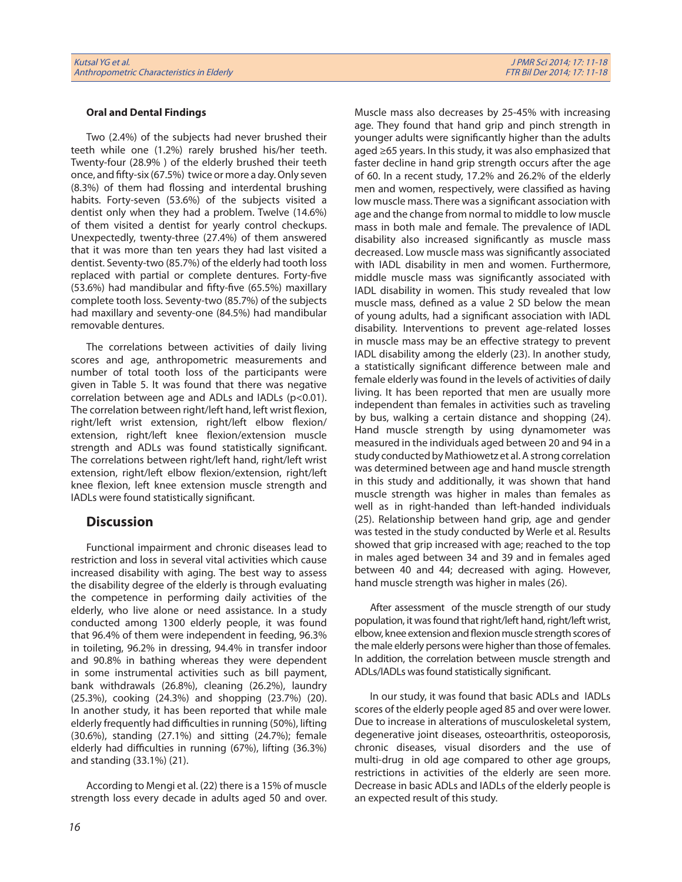#### **Oral and Dental Findings**

Two (2.4%) of the subjects had never brushed their teeth while one (1.2%) rarely brushed his/her teeth. Twenty-four (28.9% ) of the elderly brushed their teeth once, and fifty-six (67.5%) twice or more a day. Only seven (8.3%) of them had flossing and interdental brushing habits. Forty-seven (53.6%) of the subjects visited a dentist only when they had a problem. Twelve (14.6%) of them visited a dentist for yearly control checkups. Unexpectedly, twenty-three (27.4%) of them answered that it was more than ten years they had last visited a dentist. Seventy-two (85.7%) of the elderly had tooth loss replaced with partial or complete dentures. Forty-five (53.6%) had mandibular and fifty-five (65.5%) maxillary complete tooth loss. Seventy-two (85.7%) of the subjects had maxillary and seventy-one (84.5%) had mandibular removable dentures.

The correlations between activities of daily living scores and age, anthropometric measurements and number of total tooth loss of the participants were given in Table 5. It was found that there was negative correlation between age and ADLs and IADLs (p<0.01). The correlation between right/left hand, left wrist flexion, right/left wrist extension, right/left elbow flexion/ extension, right/left knee flexion/extension muscle strength and ADLs was found statistically significant. The correlations between right/left hand, right/left wrist extension, right/left elbow flexion/extension, right/left knee flexion, left knee extension muscle strength and IADLs were found statistically significant.

## **Discussion**

Functional impairment and chronic diseases lead to restriction and loss in several vital activities which cause increased disability with aging. The best way to assess the disability degree of the elderly is through evaluating the competence in performing daily activities of the elderly, who live alone or need assistance. In a study conducted among 1300 elderly people, it was found that 96.4% of them were independent in feeding, 96.3% in toileting, 96.2% in dressing, 94.4% in transfer indoor and 90.8% in bathing whereas they were dependent in some instrumental activities such as bill payment, bank withdrawals (26.8%), cleaning (26.2%), laundry (25.3%), cooking (24.3%) and shopping (23.7%) (20). In another study, it has been reported that while male elderly frequently had difficulties in running (50%), lifting (30.6%), standing (27.1%) and sitting (24.7%); female elderly had difficulties in running (67%), lifting (36.3%) and standing (33.1%) (21).

According to Mengi et al. (22) there is a 15% of muscle strength loss every decade in adults aged 50 and over. Muscle mass also decreases by 25-45% with increasing age. They found that hand grip and pinch strength in younger adults were significantly higher than the adults aged ≥65 years. In this study, it was also emphasized that faster decline in hand grip strength occurs after the age of 60. In a recent study, 17.2% and 26.2% of the elderly men and women, respectively, were classified as having low muscle mass. There was a significant association with age and the change from normal to middle to low muscle mass in both male and female. The prevalence of IADL disability also increased significantly as muscle mass decreased. Low muscle mass was significantly associated with IADL disability in men and women. Furthermore, middle muscle mass was significantly associated with IADL disability in women. This study revealed that low muscle mass, defined as a value 2 SD below the mean of young adults, had a significant association with IADL disability. Interventions to prevent age-related losses in muscle mass may be an effective strategy to prevent IADL disability among the elderly (23). In another study, a statistically significant difference between male and female elderly was found in the levels of activities of daily living. It has been reported that men are usually more independent than females in activities such as traveling by bus, walking a certain distance and shopping (24). Hand muscle strength by using dynamometer was measured in the individuals aged between 20 and 94 in a study conducted by Mathiowetz et al. A strong correlation was determined between age and hand muscle strength in this study and additionally, it was shown that hand muscle strength was higher in males than females as well as in right-handed than left-handed individuals (25). Relationship between hand grip, age and gender was tested in the study conducted by Werle et al. Results showed that grip increased with age; reached to the top in males aged between 34 and 39 and in females aged between 40 and 44; decreased with aging. However, hand muscle strength was higher in males (26).

After assessment of the muscle strength of our study population, it was found that right/left hand, right/left wrist, elbow, knee extension and flexion muscle strength scores of the male elderly persons were higher than those of females. In addition, the correlation between muscle strength and ADLs/IADLs was found statistically significant.

In our study, it was found that basic ADLs and IADLs scores of the elderly people aged 85 and over were lower. Due to increase in alterations of musculoskeletal system, degenerative joint diseases, osteoarthritis, osteoporosis, chronic diseases, visual disorders and the use of multi-drug in old age compared to other age groups, restrictions in activities of the elderly are seen more. Decrease in basic ADLs and IADLs of the elderly people is an expected result of this study.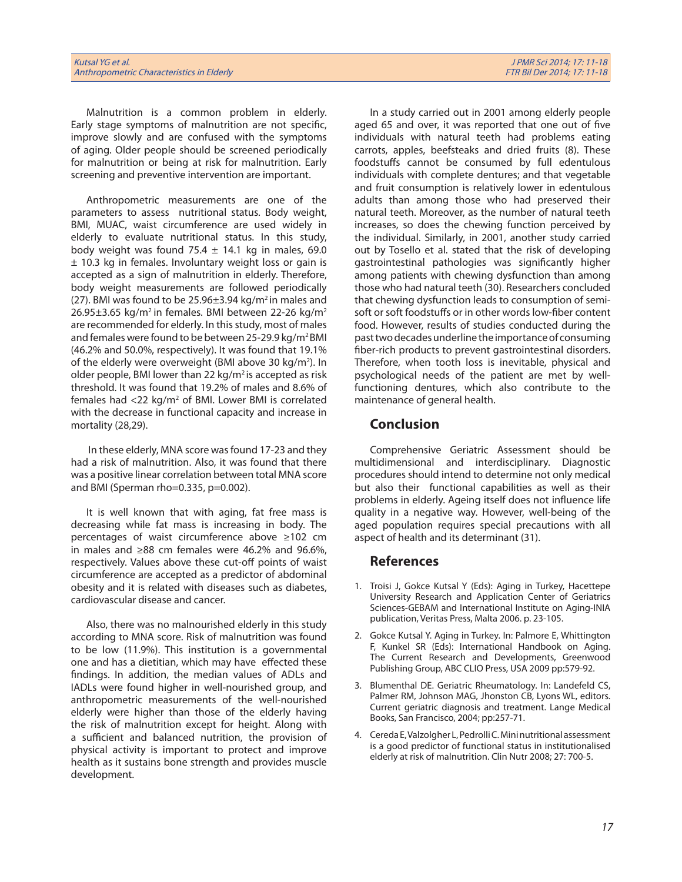Malnutrition is a common problem in elderly. Early stage symptoms of malnutrition are not specific, improve slowly and are confused with the symptoms of aging. Older people should be screened periodically for malnutrition or being at risk for malnutrition. Early screening and preventive intervention are important.

Anthropometric measurements are one of the parameters to assess nutritional status. Body weight, BMI, MUAC, waist circumference are used widely in elderly to evaluate nutritional status. In this study, body weight was found 75.4  $\pm$  14.1 kg in males, 69.0 ± 10.3 kg in females. Involuntary weight loss or gain is accepted as a sign of malnutrition in elderly. Therefore, body weight measurements are followed periodically (27). BMI was found to be  $25.96\pm3.94$  kg/m<sup>2</sup> in males and  $26.95\pm3.65$  kg/m<sup>2</sup> in females. BMI between 22-26 kg/m<sup>2</sup> are recommended for elderly. In this study, most of males and females were found to be between 25-29.9 kg/m2 BMI (46.2% and 50.0%, respectively). It was found that 19.1% of the elderly were overweight (BMI above 30 kg/m<sup>2</sup>). In older people, BMI lower than 22  $kg/m^2$  is accepted as risk threshold. It was found that 19.2% of males and 8.6% of females had  $<$ 22 kg/m<sup>2</sup> of BMI. Lower BMI is correlated with the decrease in functional capacity and increase in mortality (28,29).

 In these elderly, MNA score was found 17-23 and they had a risk of malnutrition. Also, it was found that there was a positive linear correlation between total MNA score and BMI (Sperman rho=0.335, p=0.002).

It is well known that with aging, fat free mass is decreasing while fat mass is increasing in body. The percentages of waist circumference above ≥102 cm in males and ≥88 cm females were 46.2% and 96.6%, respectively. Values above these cut-off points of waist circumference are accepted as a predictor of abdominal obesity and it is related with diseases such as diabetes, cardiovascular disease and cancer.

Also, there was no malnourished elderly in this study according to MNA score. Risk of malnutrition was found to be low (11.9%). This institution is a governmental one and has a dietitian, which may have effected these findings. In addition, the median values of ADLs and IADLs were found higher in well-nourished group, and anthropometric measurements of the well-nourished elderly were higher than those of the elderly having the risk of malnutrition except for height. Along with a sufficient and balanced nutrition, the provision of physical activity is important to protect and improve health as it sustains bone strength and provides muscle development.

In a study carried out in 2001 among elderly people aged 65 and over, it was reported that one out of five individuals with natural teeth had problems eating carrots, apples, beefsteaks and dried fruits (8). These foodstuffs cannot be consumed by full edentulous individuals with complete dentures; and that vegetable and fruit consumption is relatively lower in edentulous adults than among those who had preserved their natural teeth. Moreover, as the number of natural teeth increases, so does the chewing function perceived by the individual. Similarly, in 2001, another study carried out by Tosello et al. stated that the risk of developing gastrointestinal pathologies was significantly higher among patients with chewing dysfunction than among those who had natural teeth (30). Researchers concluded that chewing dysfunction leads to consumption of semisoft or soft foodstuffs or in other words low-fiber content food. However, results of studies conducted during the past two decades underline the importance of consuming fiber-rich products to prevent gastrointestinal disorders. Therefore, when tooth loss is inevitable, physical and psychological needs of the patient are met by wellfunctioning dentures, which also contribute to the maintenance of general health.

## **Conclusion**

Comprehensive Geriatric Assessment should be multidimensional and interdisciplinary. Diagnostic procedures should intend to determine not only medical but also their functional capabilities as well as their problems in elderly. Ageing itself does not influence life quality in a negative way. However, well-being of the aged population requires special precautions with all aspect of health and its determinant (31).

## **References**

- 1. Troisi J, Gokce Kutsal Y (Eds): Aging in Turkey, Hacettepe University Research and Application Center of Geriatrics Sciences-GEBAM and International Institute on Aging-INIA publication, Veritas Press, Malta 2006. p. 23-105.
- 2. Gokce Kutsal Y. Aging in Turkey. In: Palmore E, Whittington F, Kunkel SR (Eds): International Handbook on Aging. The Current Research and Developments, Greenwood Publishing Group, ABC CLIO Press, USA 2009 pp:579-92.
- 3. Blumenthal DE. Geriatric Rheumatology. In: Landefeld CS, Palmer RM, Johnson MAG, Jhonston CB, Lyons WL, editors. Current geriatric diagnosis and treatment. Lange Medical Books, San Francisco, 2004; pp:257-71.
- 4. Cereda E, Valzolgher L, Pedrolli C. Mini nutritional assessment is a good predictor of functional status in institutionalised elderly at risk of malnutrition. Clin Nutr 2008; 27: 700-5.